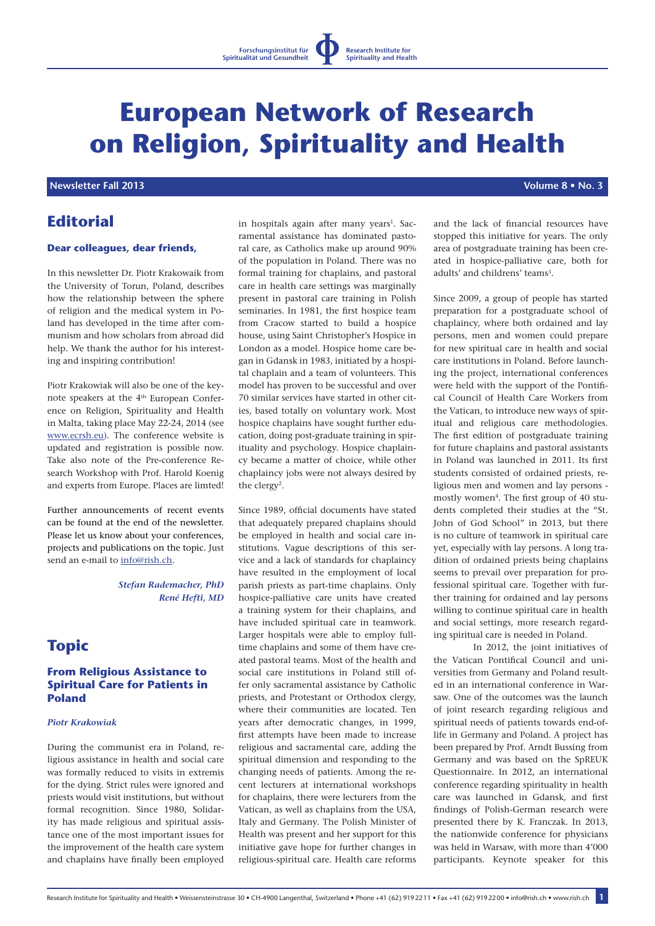#### **Research Institute for Spirituality and Health**

# **European Network of Research on Religion, Spirituality and Health**

# *Newsletter Fall 2013* *Newsletter Fall 2013 <b><i>Newsletter Fall 2013 Volume 8 • No. 3*

# **Editorial**

## **Dear colleagues, dear friends,**

In this newsletter Dr. Piotr Krakowaik from the University of Torun, Poland, describes how the relationship between the sphere of religion and the medical system in Poland has developed in the time after communism and how scholars from abroad did help. We thank the author for his interesting and inspiring contribution!

Piotr Krakowiak will also be one of the keynote speakers at the 4th European Conference on Religion, Spirituality and Health in Malta, taking place May 22-24, 2014 (see www.ecrsh.eu). The conference website is updated and registration is possible now. Take also note of the Pre-conference Research Workshop with Prof. Harold Koenig and experts from Europe. Places are limted!

Further announcements of recent events can be found at the end of the newsletter. Please let us know about your conferences, projects and publications on the topic. Just send an e-mail to info@rish.ch.

> *Stefan Rademacher, PhD René Hefti, MD*

# **Topic**

# **From Religious Assistance to Spiritual Care for Patients in Poland**

## *Piotr Krakowiak*

During the communist era in Poland, religious assistance in health and social care was formally reduced to visits in extremis for the dying. Strict rules were ignored and priests would visit institutions, but without formal recognition. Since 1980, Solidarity has made religious and spiritual assistance one of the most important issues for the improvement of the health care system and chaplains have finally been employed in hospitals again after many years<sup>1</sup>. Sacramental assistance has dominated pastoral care, as Catholics make up around 90% of the population in Poland. There was no formal training for chaplains, and pastoral care in health care settings was marginally present in pastoral care training in Polish seminaries. In 1981, the first hospice team from Cracow started to build a hospice house, using Saint Christopher's Hospice in London as a model. Hospice home care began in Gdansk in 1983, initiated by a hospital chaplain and a team of volunteers. This model has proven to be successful and over 70 similar services have started in other cities, based totally on voluntary work. Most hospice chaplains have sought further education, doing post-graduate training in spirituality and psychology. Hospice chaplaincy became a matter of choice, while other chaplaincy jobs were not always desired by the clergy<sup>2</sup>.

Since 1989, official documents have stated that adequately prepared chaplains should be employed in health and social care institutions. Vague descriptions of this service and a lack of standards for chaplaincy have resulted in the employment of local parish priests as part-time chaplains. Only hospice-palliative care units have created a training system for their chaplains, and have included spiritual care in teamwork. Larger hospitals were able to employ fulltime chaplains and some of them have created pastoral teams. Most of the health and social care institutions in Poland still offer only sacramental assistance by Catholic priests, and Protestant or Orthodox clergy, where their communities are located. Ten years after democratic changes, in 1999, first attempts have been made to increase religious and sacramental care, adding the spiritual dimension and responding to the changing needs of patients. Among the recent lecturers at international workshops for chaplains, there were lecturers from the Vatican, as well as chaplains from the USA, Italy and Germany. The Polish Minister of Health was present and her support for this initiative gave hope for further changes in religious-spiritual care. Health care reforms and the lack of financial resources have stopped this initiative for years. The only area of postgraduate training has been created in hospice-palliative care, both for adults' and childrens' teams<sup>3</sup>.

Since 2009, a group of people has started preparation for a postgraduate school of chaplaincy, where both ordained and lay persons, men and women could prepare for new spiritual care in health and social care institutions in Poland. Before launching the project, international conferences were held with the support of the Pontifical Council of Health Care Workers from the Vatican, to introduce new ways of spiritual and religious care methodologies. The first edition of postgraduate training for future chaplains and pastoral assistants in Poland was launched in 2011. Its first students consisted of ordained priests, religious men and women and lay persons mostly women<sup>4</sup>. The first group of 40 students completed their studies at the "St. John of God School" in 2013, but there is no culture of teamwork in spiritual care yet, especially with lay persons. A long tradition of ordained priests being chaplains seems to prevail over preparation for professional spiritual care. Together with further training for ordained and lay persons willing to continue spiritual care in health and social settings, more research regarding spiritual care is needed in Poland.

In 2012, the joint initiatives of the Vatican Pontifical Council and universities from Germany and Poland resulted in an international conference in Warsaw. One of the outcomes was the launch of joint research regarding religious and spiritual needs of patients towards end-oflife in Germany and Poland. A project has been prepared by Prof. Arndt Bussing from Germany and was based on the SpREUK Questionnaire. In 2012, an international conference regarding spirituality in health care was launched in Gdansk, and first findings of Polish-German research were presented there by K. Franczak. In 2013, the nationwide conference for physicians was held in Warsaw, with more than 4'000 participants. Keynote speaker for this